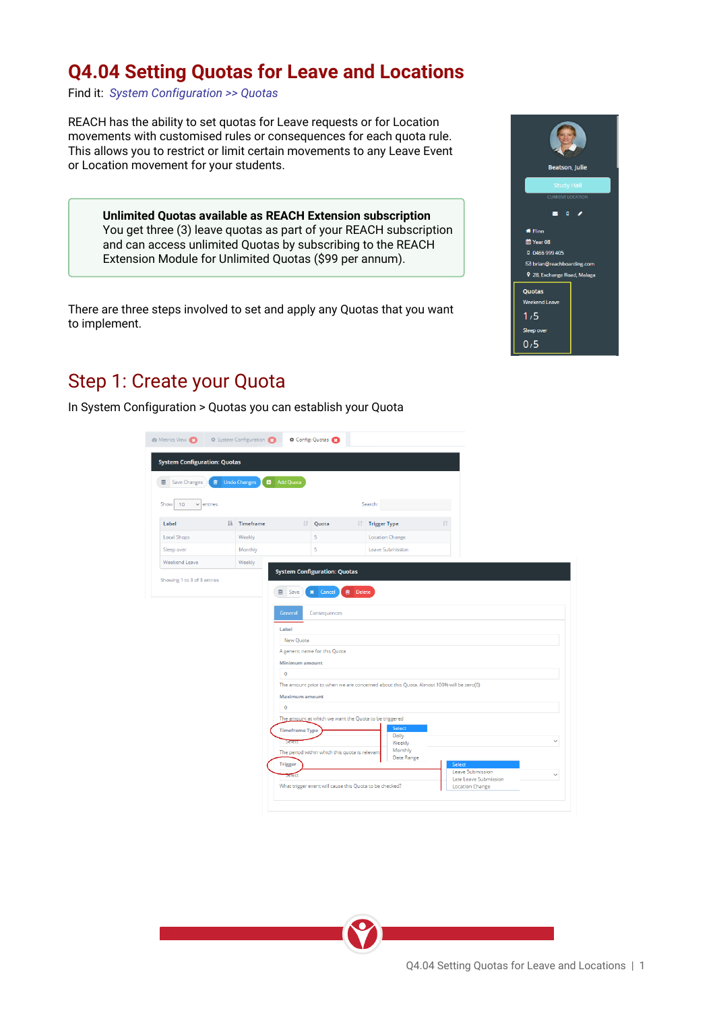## **Q4.04 Setting Quotas for Leave and Locations**

Find it: *System Configuration >> Quotas*

REACH has the ability to set quotas for Leave requests or for Location movements with customised rules or consequences for each quota rule. This allows you to restrict or limit certain movements to any Leave Event or Location movement for your students.

**Unlimited Quotas available as REACH Extension subscription** You get three (3) leave quotas as part of your REACH subscription<br>and continued in the local subscription is not the REACH subscription and can access unlimited Quotas by subscribing to the REACH<br>
Figure 2006 and the Contract of Contract Contract Contract Contract Contract Contract Contract Contract Contract Contract Contract Contract Contract Contract Con Extension Module for Unlimited Quotas (\$99 per annum).

There are three steps involved to set and apply any Quotas that you want to implement.

### Step 1: Create your Quota

Label

Local Shops

Sleep over

In System Configuration > Quotas you can establish your Quota



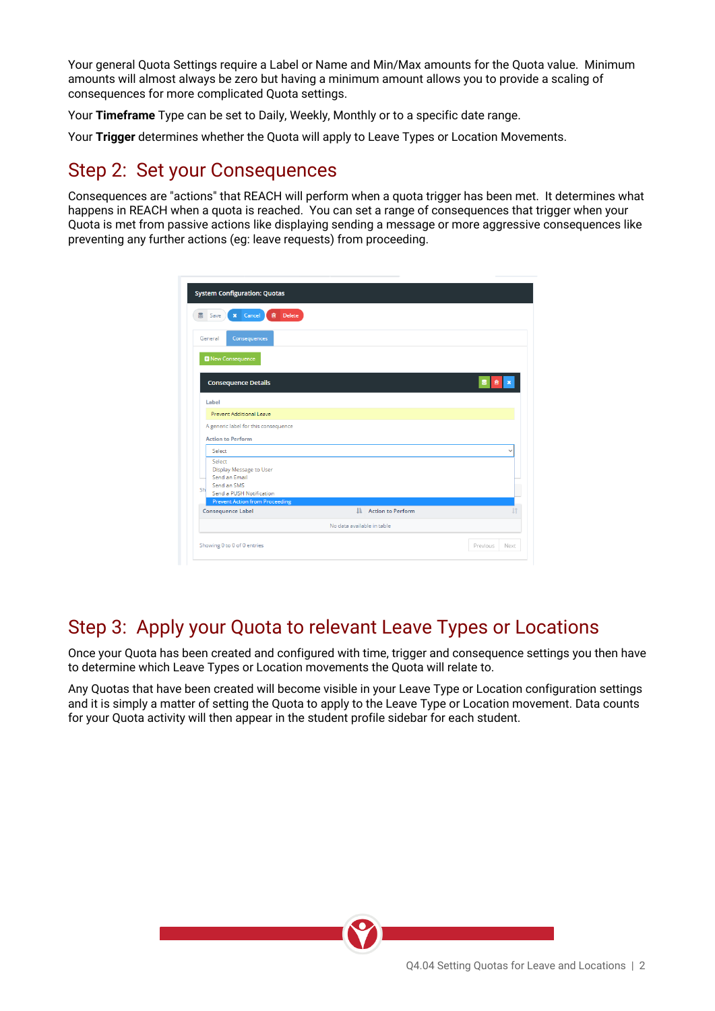Your general Quota Settings require a Label or Name and Min/Max amounts for the Quota value. Minimum amounts will almost always be zero but having a minimum amount allows you to provide a scaling of consequences for more complicated Quota settings.

Your **Timeframe** Type can be set to Daily, Weekly, Monthly or to a specific date range.

Your **Trigger** determines whether the Quota will apply to Leave Types or Location Movements.

#### Step 2: Set your Consequences

Consequences are "actions" that REACH will perform when a quota trigger has been met. It determines what happens in REACH when a quota is reached. You can set a range of consequences that trigger when your Quota is met from passive actions like displaying sending a message or more aggressive consequences like preventing any further actions (eg: leave requests) from proceeding.

|    | <b>System Configuration: Quotas</b>                                                           |                            |                      |              |
|----|-----------------------------------------------------------------------------------------------|----------------------------|----------------------|--------------|
|    | Delete<br>Cancel<br>會<br>Save<br>×                                                            |                            |                      |              |
|    | Consequences<br>General                                                                       |                            |                      |              |
|    | <b>D</b> New Consequence                                                                      |                            |                      |              |
|    | <b>Consequence Details</b>                                                                    |                            |                      | 自            |
|    | Label                                                                                         |                            |                      |              |
|    | Prevent Additional Leave                                                                      |                            |                      |              |
|    | A generic label for this consequence<br><b>Action to Perform</b>                              |                            |                      |              |
|    | Select                                                                                        |                            |                      | $\checkmark$ |
|    |                                                                                               |                            |                      |              |
|    | Select<br>Display Message to User<br>Send an Email<br>Send an SMS<br>Send a PUSH Notification |                            |                      |              |
|    | <b>Prevent Action from Proceeding</b>                                                         |                            |                      |              |
|    | <b>Consequence Label</b>                                                                      |                            | IL Action to Perform |              |
| Sh |                                                                                               | No data available in table |                      |              |

# Step 3: Apply your Quota to relevant Leave Types or Locations

Once your Quota has been created and configured with time, trigger and consequence settings you then have to determine which Leave Types or Location movements the Quota will relate to.

Any Quotas that have been created will become visible in your Leave Type or Location configuration settings and it is simply a matter of setting the Quota to apply to the Leave Type or Location movement. Data counts for your Quota activity will then appear in the student profile sidebar for each student.